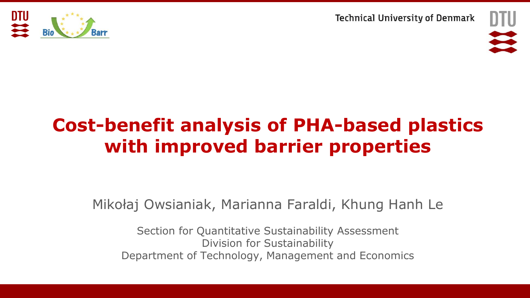





# **Cost-benefit analysis of PHA-based plastics with improved barrier properties**

Mikołaj Owsianiak, Marianna Faraldi, Khung Hanh Le

Section for Quantitative Sustainability Assessment Division for Sustainability Department of Technology, Management and Economics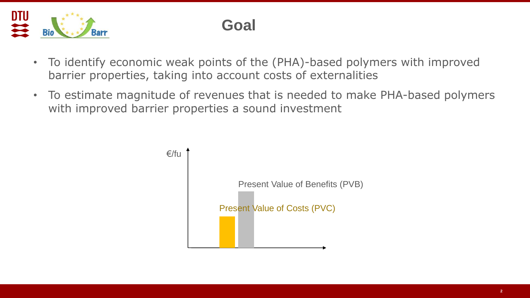

### **Goal**

- To identify economic weak points of the (PHA)-based polymers with improved barrier properties, taking into account costs of externalities
- To estimate magnitude of revenues that is needed to make PHA-based polymers with improved barrier properties a sound investment

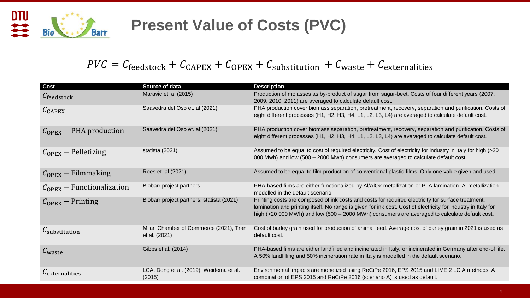

## **Present Value of Costs (PVC)**

#### $PVC = C_{\text{feedback}} + C_{\text{CAPEX}} + C_{\text{OPEX}} + C_{\text{substitution}} + C_{\text{waste}} + C_{\text{externalities}}$

| <b>Cost</b>                           | Source of data                                          | <b>Description</b>                                                                                                                                                                                                                                                                                                   |
|---------------------------------------|---------------------------------------------------------|----------------------------------------------------------------------------------------------------------------------------------------------------------------------------------------------------------------------------------------------------------------------------------------------------------------------|
| $C_{\text{feedback}}$                 | Maravic et. al (2015)                                   | Production of molasses as by-product of sugar from sugar-beet. Costs of four different years (2007,<br>2009, 2010, 2011) are averaged to calculate default cost.                                                                                                                                                     |
| $C_{\text{CAPEX}}$                    | Saavedra del Oso et. al (2021)                          | PHA production cover biomass separation, pretreatment, recovery, separation and purification. Costs of<br>eight different processes (H1, H2, H3, H4, L1, L2, L3, L4) are averaged to calculate default cost.                                                                                                         |
| $C_{\text{OPEX}}$ – PHA production    | Saavedra del Oso et. al (2021)                          | PHA production cover biomass separation, pretreatment, recovery, separation and purification. Costs of<br>eight different processes (H1, H2, H3, H4, L1, L2, L3, L4) are averaged to calculate default cost.                                                                                                         |
| $C_{\text{OPEX}}$ – Pelletizing       | statista (2021)                                         | Assumed to be equal to cost of required electricity. Cost of electricity for industry in Italy for high (>20<br>000 Mwh) and low (500 - 2000 Mwh) consumers are averaged to calculate default cost.                                                                                                                  |
| $C_{\text{OPEX}}$ – Filmmaking        | Roes et. al (2021)                                      | Assumed to be equal to film production of conventional plastic films. Only one value given and used.                                                                                                                                                                                                                 |
| $C_{\text{OPEX}}$ – Functionalization | Biobarr project partners                                | PHA-based films are either functionalized by AI/AIOx metallization or PLA lamination. AI metallization<br>modelled in the default scenario.                                                                                                                                                                          |
| $C_{\text{OPEX}}$ – Printing          | Biobarr project partners, statista (2021)               | Printing costs are composed of ink costs and costs for required electricity for surface treatment,<br>lamination and printing itself. No range is given for ink cost. Cost of electricity for industry in Italy for<br>high (>20 000 MWh) and low (500 - 2000 MWh) consumers are averaged to calculate default cost. |
| $\mathcal{L}_{substitution}$          | Milan Chamber of Commerce (2021), Tran<br>et al. (2021) | Cost of barley grain used for production of animal feed. Average cost of barley grain in 2021 is used as<br>default cost.                                                                                                                                                                                            |
| $C_{\text{waste}}$                    | Gibbs et al. (2014)                                     | PHA-based films are either landfilled and incinerated in Italy, or incinerated in Germany after end-of life.<br>A 50% landfilling and 50% incineration rate in Italy is modelled in the default scenario.                                                                                                            |
| L <sub>externalities</sub>            | LCA, Dong et al. (2019), Weidema et al.<br>(2015)       | Environmental impacts are monetized using ReCiPe 2016, EPS 2015 and LIME 2 LCIA methods. A<br>combination of EPS 2015 and ReCiPe 2016 (scenario A) is used as default.                                                                                                                                               |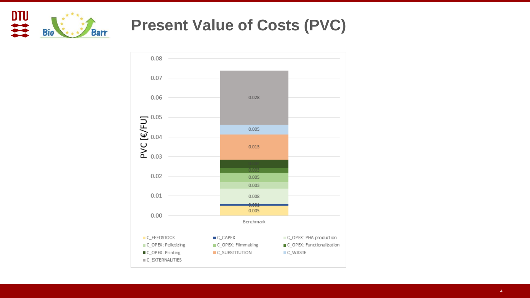

#### **Present Value of Costs (PVC)**

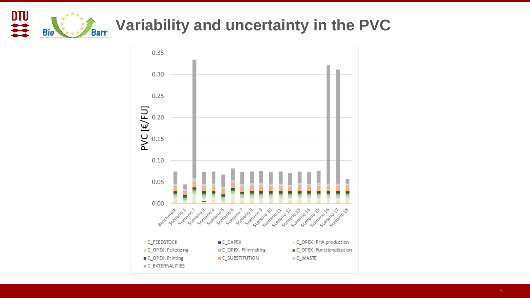

## **Variability and uncertainty in the PVC**

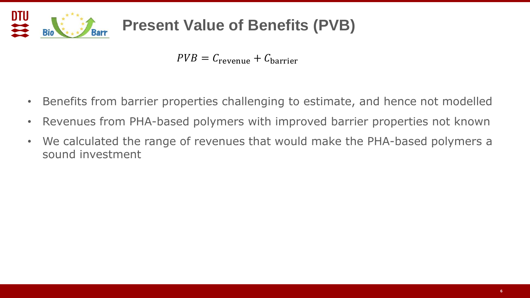

## **Present Value of Benefits (PVB)**

 $PVB = C_{\text{revenue}} + C_{\text{barrier}}$ 

- Benefits from barrier properties challenging to estimate, and hence not modelled
- Revenues from PHA-based polymers with improved barrier properties not known
- We calculated the range of revenues that would make the PHA-based polymers a sound investment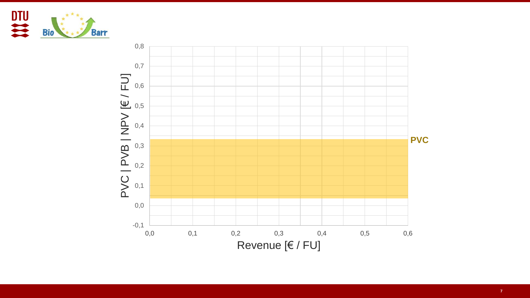

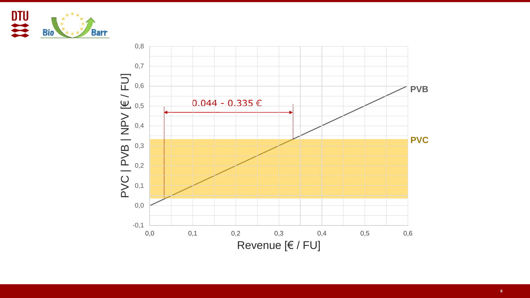

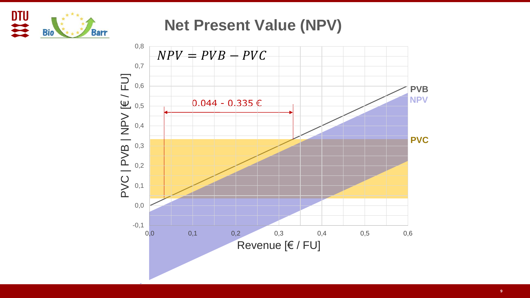

**Net Present Value (NPV)**